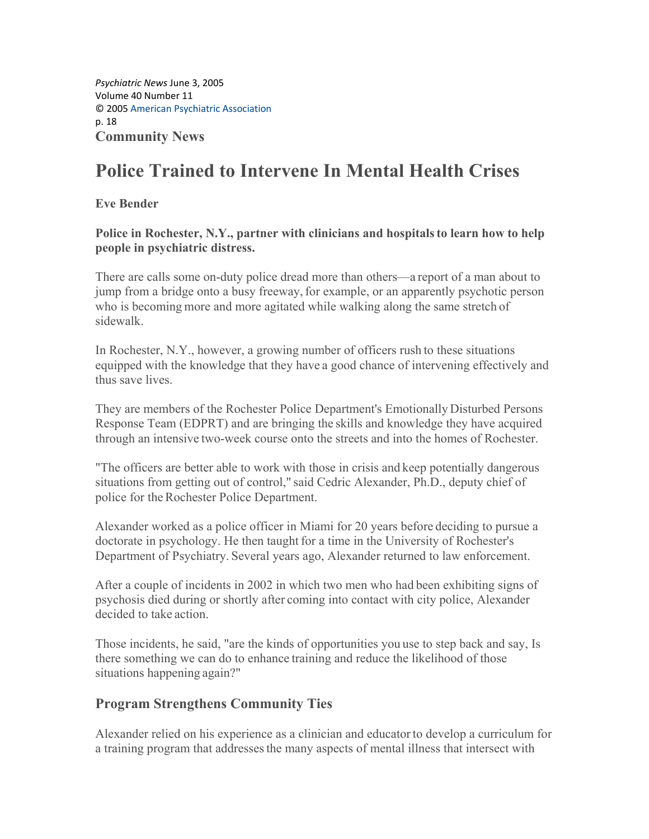*Psychiatric News* June 3, 2005 Volume 40 Number 11 © 2005 American Psychiatric Association p. 18 **Community News**

## **Police Trained to Intervene In Mental Health Crises**

**Eve Bender** 

Police in Rochester, N.Y., partner with clinicians and hospitals to learn how to help **people in psychiatric distress.**

There are calls some on-duty police dread more than others—a report of a man about to jump from a bridge onto a busy freeway, for example, or an apparently psychotic person who is becoming more and more agitated while walking along the same stretch of sidewalk.

In Rochester, N.Y., however, a growing number of officers rush to these situations equipped with the knowledge that they have a good chance of intervening effectively and thus save lives.

They are members of the Rochester Police Department's Emotionally Disturbed Persons Response Team (EDPRT) and are bringing the skills and knowledge they have acquired through an intensive two-week course onto the streets and into the homes of Rochester.

"The officers are better able to work with those in crisis and keep potentially dangerous situations from getting out of control," said Cedric Alexander, Ph.D., deputy chief of police for the Rochester Police Department.

Alexander worked as a police officer in Miami for 20 years before deciding to pursue a doctorate in psychology. He then taught for a time in the University of Rochester's Department of Psychiatry. Several years ago, Alexander returned to law enforcement.

After a couple of incidents in 2002 in which two men who had been exhibiting signs of psychosis died during or shortly after coming into contact with city police, Alexander decided to take action.

Those incidents, he said, "are the kinds of opportunities you use to step back and say, Is there something we can do to enhance training and reduce the likelihood of those situations happening again?"

## **Program Strengthens Community Ties**

Alexander relied on his experience as a clinician and educatorto develop a curriculum for a training program that addressesthe many aspects of mental illness that intersect with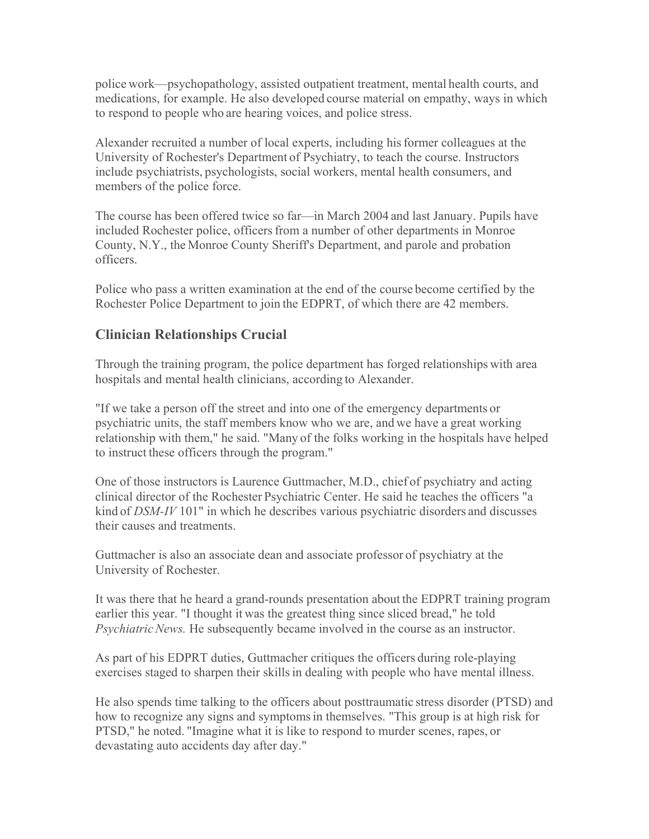police work—psychopathology, assisted outpatient treatment, mental health courts, and medications, for example. He also developed course material on empathy, ways in which to respond to people who are hearing voices, and police stress.

Alexander recruited a number of local experts, including hisformer colleagues at the University of Rochester's Department of Psychiatry, to teach the course. Instructors include psychiatrists, psychologists, social workers, mental health consumers, and members of the police force.

The course has been offered twice so far—in March 2004 and last January. Pupils have included Rochester police, officers from a number of other departments in Monroe County, N.Y., the Monroe County Sheriff's Department, and parole and probation officers.

Police who pass a written examination at the end of the course become certified by the Rochester Police Department to join the EDPRT, of which there are 42 members.

## **Clinician Relationships Crucial**

Through the training program, the police department has forged relationships with area hospitals and mental health clinicians, according to Alexander.

"If we take a person off the street and into one of the emergency departments or psychiatric units, the staff members know who we are, and we have a great working relationship with them," he said. "Many of the folks working in the hospitals have helped to instruct these officers through the program."

One of those instructors is Laurence Guttmacher, M.D., chief of psychiatry and acting clinical director of the Rochester Psychiatric Center. He said he teaches the officers "a kind of *DSM-IV* 101" in which he describes various psychiatric disorders and discusses their causes and treatments.

Guttmacher is also an associate dean and associate professor of psychiatry at the University of Rochester.

It was there that he heard a grand-rounds presentation about the EDPRT training program earlier this year. "I thought it was the greatest thing since sliced bread," he told *Psychiatric News.* He subsequently became involved in the course as an instructor.

As part of his EDPRT duties, Guttmacher critiques the officers during role-playing exercises staged to sharpen their skills in dealing with people who have mental illness.

He also spends time talking to the officers about posttraumatic stress disorder (PTSD) and how to recognize any signs and symptomsin themselves. "This group is at high risk for PTSD," he noted. "Imagine what it is like to respond to murder scenes, rapes, or devastating auto accidents day after day."